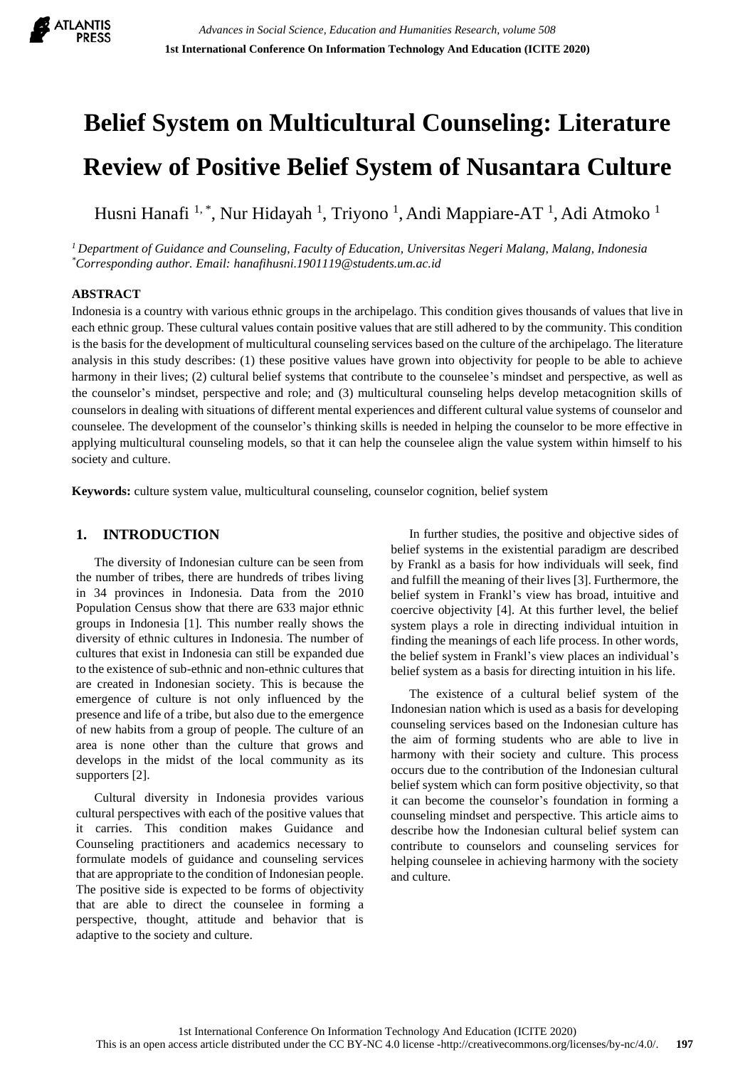

# **Belief System on Multicultural Counseling: Literature Review of Positive Belief System of Nusantara Culture**

Husni Hanafi<sup>1,\*</sup>, Nur Hidayah<sup>1</sup>, Triyono<sup>1</sup>, Andi Mappiare-AT<sup>1</sup>, Adi Atmoko<sup>1</sup>

*<sup>1</sup>Department of Guidance and Counseling, Faculty of Education, Universitas Negeri Malang, Malang, Indonesia \*Corresponding author. Email: hanafihusni.1901119@students.um.ac.id*

### **ABSTRACT**

Indonesia is a country with various ethnic groups in the archipelago. This condition gives thousands of values that live in each ethnic group. These cultural values contain positive values that are still adhered to by the community. This condition is the basis for the development of multicultural counseling services based on the culture of the archipelago. The literature analysis in this study describes: (1) these positive values have grown into objectivity for people to be able to achieve harmony in their lives; (2) cultural belief systems that contribute to the counselee's mindset and perspective, as well as the counselor's mindset, perspective and role; and (3) multicultural counseling helps develop metacognition skills of counselors in dealing with situations of different mental experiences and different cultural value systems of counselor and counselee. The development of the counselor's thinking skills is needed in helping the counselor to be more effective in applying multicultural counseling models, so that it can help the counselee align the value system within himself to his society and culture.

**Keywords:** culture system value, multicultural counseling, counselor cognition, belief system

## **1. INTRODUCTION**

The diversity of Indonesian culture can be seen from the number of tribes, there are hundreds of tribes living in 34 provinces in Indonesia. Data from the 2010 Population Census show that there are 633 major ethnic groups in Indonesia [1]. This number really shows the diversity of ethnic cultures in Indonesia. The number of cultures that exist in Indonesia can still be expanded due to the existence of sub-ethnic and non-ethnic cultures that are created in Indonesian society. This is because the emergence of culture is not only influenced by the presence and life of a tribe, but also due to the emergence of new habits from a group of people. The culture of an area is none other than the culture that grows and develops in the midst of the local community as its supporters [2].

Cultural diversity in Indonesia provides various cultural perspectives with each of the positive values that it carries. This condition makes Guidance and Counseling practitioners and academics necessary to formulate models of guidance and counseling services that are appropriate to the condition of Indonesian people. The positive side is expected to be forms of objectivity that are able to direct the counselee in forming a perspective, thought, attitude and behavior that is adaptive to the society and culture.

In further studies, the positive and objective sides of belief systems in the existential paradigm are described by Frankl as a basis for how individuals will seek, find and fulfill the meaning of their lives [3]. Furthermore, the belief system in Frankl's view has broad, intuitive and coercive objectivity [4]. At this further level, the belief system plays a role in directing individual intuition in finding the meanings of each life process. In other words, the belief system in Frankl's view places an individual's belief system as a basis for directing intuition in his life.

The existence of a cultural belief system of the Indonesian nation which is used as a basis for developing counseling services based on the Indonesian culture has the aim of forming students who are able to live in harmony with their society and culture. This process occurs due to the contribution of the Indonesian cultural belief system which can form positive objectivity, so that it can become the counselor's foundation in forming a counseling mindset and perspective. This article aims to describe how the Indonesian cultural belief system can contribute to counselors and counseling services for helping counselee in achieving harmony with the society and culture.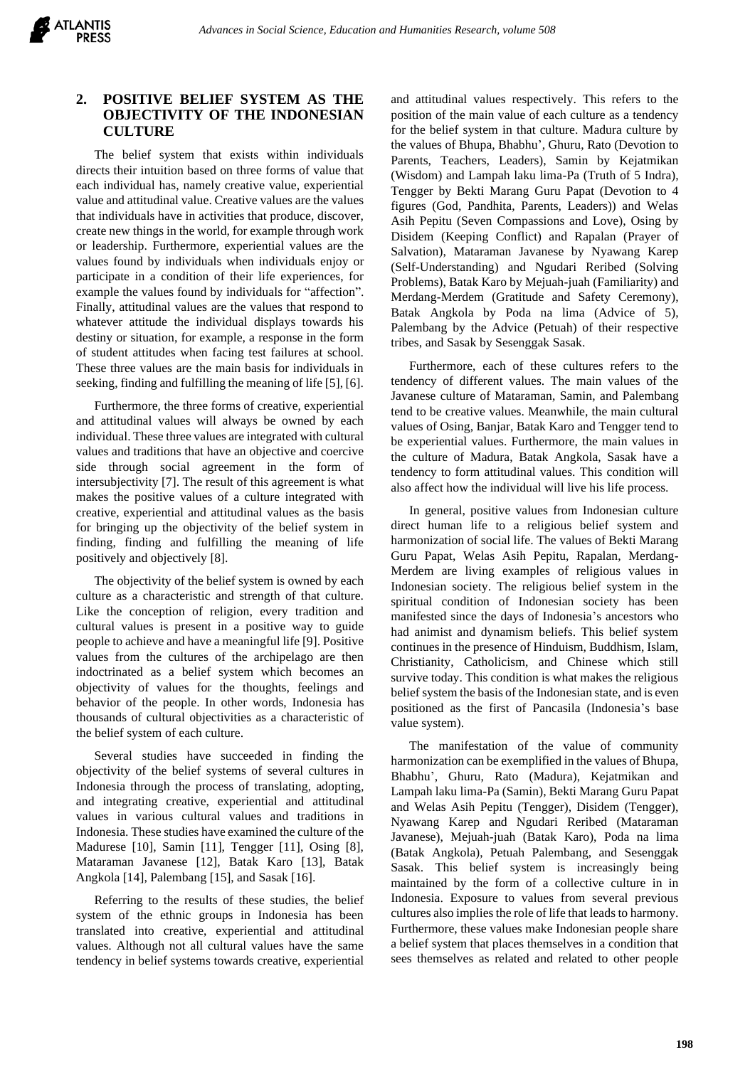## **2. POSITIVE BELIEF SYSTEM AS THE OBJECTIVITY OF THE INDONESIAN CULTURE**

The belief system that exists within individuals directs their intuition based on three forms of value that each individual has, namely creative value, experiential value and attitudinal value. Creative values are the values that individuals have in activities that produce, discover, create new things in the world, for example through work or leadership. Furthermore, experiential values are the values found by individuals when individuals enjoy or participate in a condition of their life experiences, for example the values found by individuals for "affection". Finally, attitudinal values are the values that respond to whatever attitude the individual displays towards his destiny or situation, for example, a response in the form of student attitudes when facing test failures at school. These three values are the main basis for individuals in seeking, finding and fulfilling the meaning of life [5], [6].

Furthermore, the three forms of creative, experiential and attitudinal values will always be owned by each individual. These three values are integrated with cultural values and traditions that have an objective and coercive side through social agreement in the form of intersubjectivity [7]. The result of this agreement is what makes the positive values of a culture integrated with creative, experiential and attitudinal values as the basis for bringing up the objectivity of the belief system in finding, finding and fulfilling the meaning of life positively and objectively [8].

The objectivity of the belief system is owned by each culture as a characteristic and strength of that culture. Like the conception of religion, every tradition and cultural values is present in a positive way to guide people to achieve and have a meaningful life [9]. Positive values from the cultures of the archipelago are then indoctrinated as a belief system which becomes an objectivity of values for the thoughts, feelings and behavior of the people. In other words, Indonesia has thousands of cultural objectivities as a characteristic of the belief system of each culture.

Several studies have succeeded in finding the objectivity of the belief systems of several cultures in Indonesia through the process of translating, adopting, and integrating creative, experiential and attitudinal values in various cultural values and traditions in Indonesia. These studies have examined the culture of the Madurese [10], Samin [11], Tengger [11], Osing [8], Mataraman Javanese [12], Batak Karo [13], Batak Angkola [14], Palembang [15], and Sasak [16].

Referring to the results of these studies, the belief system of the ethnic groups in Indonesia has been translated into creative, experiential and attitudinal values. Although not all cultural values have the same tendency in belief systems towards creative, experiential and attitudinal values respectively. This refers to the position of the main value of each culture as a tendency for the belief system in that culture. Madura culture by the values of Bhupa, Bhabhu', Ghuru, Rato (Devotion to Parents, Teachers, Leaders), Samin by Kejatmikan (Wisdom) and Lampah laku lima-Pa (Truth of 5 Indra), Tengger by Bekti Marang Guru Papat (Devotion to 4 figures (God, Pandhita, Parents, Leaders)) and Welas Asih Pepitu (Seven Compassions and Love), Osing by Disidem (Keeping Conflict) and Rapalan (Prayer of Salvation), Mataraman Javanese by Nyawang Karep (Self-Understanding) and Ngudari Reribed (Solving Problems), Batak Karo by Mejuah-juah (Familiarity) and Merdang-Merdem (Gratitude and Safety Ceremony), Batak Angkola by Poda na lima (Advice of 5), Palembang by the Advice (Petuah) of their respective tribes, and Sasak by Sesenggak Sasak.

Furthermore, each of these cultures refers to the tendency of different values. The main values of the Javanese culture of Mataraman, Samin, and Palembang tend to be creative values. Meanwhile, the main cultural values of Osing, Banjar, Batak Karo and Tengger tend to be experiential values. Furthermore, the main values in the culture of Madura, Batak Angkola, Sasak have a tendency to form attitudinal values. This condition will also affect how the individual will live his life process.

In general, positive values from Indonesian culture direct human life to a religious belief system and harmonization of social life. The values of Bekti Marang Guru Papat, Welas Asih Pepitu, Rapalan, Merdang-Merdem are living examples of religious values in Indonesian society. The religious belief system in the spiritual condition of Indonesian society has been manifested since the days of Indonesia's ancestors who had animist and dynamism beliefs. This belief system continues in the presence of Hinduism, Buddhism, Islam, Christianity, Catholicism, and Chinese which still survive today. This condition is what makes the religious belief system the basis of the Indonesian state, and is even positioned as the first of Pancasila (Indonesia's base value system).

The manifestation of the value of community harmonization can be exemplified in the values of Bhupa, Bhabhu', Ghuru, Rato (Madura), Kejatmikan and Lampah laku lima-Pa (Samin), Bekti Marang Guru Papat and Welas Asih Pepitu (Tengger), Disidem (Tengger), Nyawang Karep and Ngudari Reribed (Mataraman Javanese), Mejuah-juah (Batak Karo), Poda na lima (Batak Angkola), Petuah Palembang, and Sesenggak Sasak. This belief system is increasingly being maintained by the form of a collective culture in in Indonesia. Exposure to values from several previous cultures also implies the role of life that leads to harmony. Furthermore, these values make Indonesian people share a belief system that places themselves in a condition that sees themselves as related and related to other people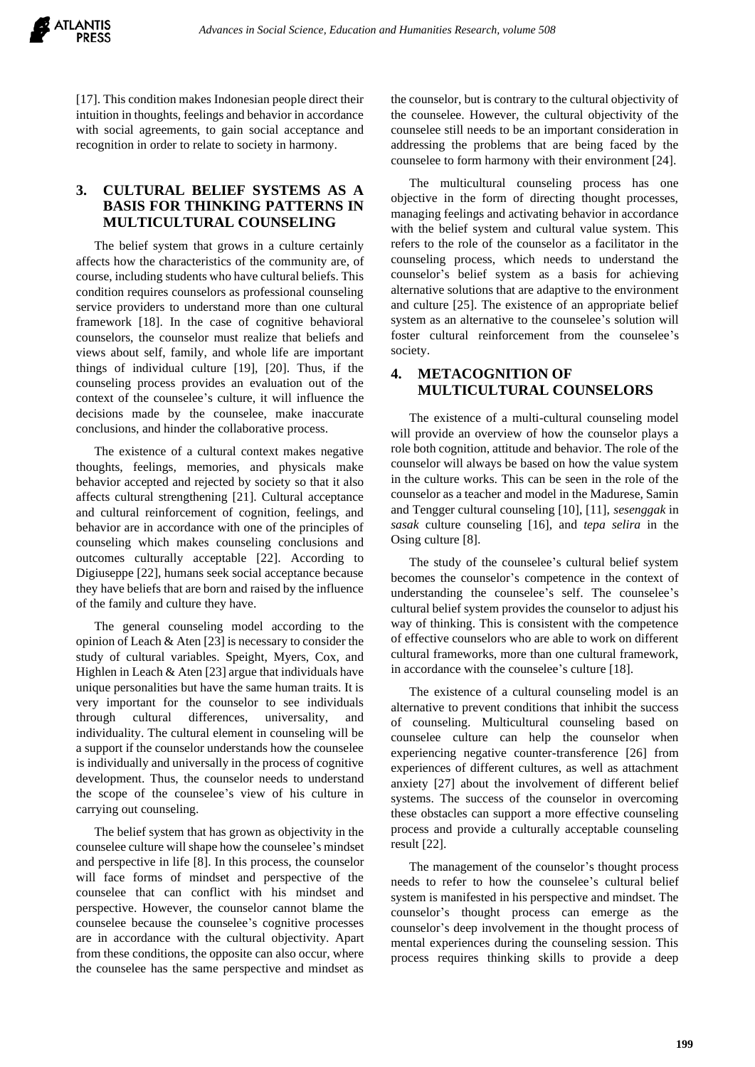

[17]. This condition makes Indonesian people direct their intuition in thoughts, feelings and behavior in accordance with social agreements, to gain social acceptance and recognition in order to relate to society in harmony.

## **3. CULTURAL BELIEF SYSTEMS AS A BASIS FOR THINKING PATTERNS IN MULTICULTURAL COUNSELING**

The belief system that grows in a culture certainly affects how the characteristics of the community are, of course, including students who have cultural beliefs. This condition requires counselors as professional counseling service providers to understand more than one cultural framework [18]. In the case of cognitive behavioral counselors, the counselor must realize that beliefs and views about self, family, and whole life are important things of individual culture [19], [20]. Thus, if the counseling process provides an evaluation out of the context of the counselee's culture, it will influence the decisions made by the counselee, make inaccurate conclusions, and hinder the collaborative process.

The existence of a cultural context makes negative thoughts, feelings, memories, and physicals make behavior accepted and rejected by society so that it also affects cultural strengthening [21]. Cultural acceptance and cultural reinforcement of cognition, feelings, and behavior are in accordance with one of the principles of counseling which makes counseling conclusions and outcomes culturally acceptable [22]. According to Digiuseppe [22], humans seek social acceptance because they have beliefs that are born and raised by the influence of the family and culture they have.

The general counseling model according to the opinion of Leach & Aten [23] is necessary to consider the study of cultural variables. Speight, Myers, Cox, and Highlen in Leach & Aten [23] argue that individuals have unique personalities but have the same human traits. It is very important for the counselor to see individuals through cultural differences, universality, and individuality. The cultural element in counseling will be a support if the counselor understands how the counselee is individually and universally in the process of cognitive development. Thus, the counselor needs to understand the scope of the counselee's view of his culture in carrying out counseling.

The belief system that has grown as objectivity in the counselee culture will shape how the counselee's mindset and perspective in life [8]. In this process, the counselor will face forms of mindset and perspective of the counselee that can conflict with his mindset and perspective. However, the counselor cannot blame the counselee because the counselee's cognitive processes are in accordance with the cultural objectivity. Apart from these conditions, the opposite can also occur, where the counselee has the same perspective and mindset as the counselor, but is contrary to the cultural objectivity of the counselee. However, the cultural objectivity of the counselee still needs to be an important consideration in addressing the problems that are being faced by the counselee to form harmony with their environment [24].

The multicultural counseling process has one objective in the form of directing thought processes, managing feelings and activating behavior in accordance with the belief system and cultural value system. This refers to the role of the counselor as a facilitator in the counseling process, which needs to understand the counselor's belief system as a basis for achieving alternative solutions that are adaptive to the environment and culture [25]. The existence of an appropriate belief system as an alternative to the counselee's solution will foster cultural reinforcement from the counselee's society.

## **4. METACOGNITION OF MULTICULTURAL COUNSELORS**

The existence of a multi-cultural counseling model will provide an overview of how the counselor plays a role both cognition, attitude and behavior. The role of the counselor will always be based on how the value system in the culture works. This can be seen in the role of the counselor as a teacher and model in the Madurese, Samin and Tengger cultural counseling [10], [11], *sesenggak* in *sasak* culture counseling [16], and *tepa selira* in the Osing culture [8].

The study of the counselee's cultural belief system becomes the counselor's competence in the context of understanding the counselee's self. The counselee's cultural belief system provides the counselor to adjust his way of thinking. This is consistent with the competence of effective counselors who are able to work on different cultural frameworks, more than one cultural framework, in accordance with the counselee's culture [18].

The existence of a cultural counseling model is an alternative to prevent conditions that inhibit the success of counseling. Multicultural counseling based on counselee culture can help the counselor when experiencing negative counter-transference [26] from experiences of different cultures, as well as attachment anxiety [27] about the involvement of different belief systems. The success of the counselor in overcoming these obstacles can support a more effective counseling process and provide a culturally acceptable counseling result [22].

The management of the counselor's thought process needs to refer to how the counselee's cultural belief system is manifested in his perspective and mindset. The counselor's thought process can emerge as the counselor's deep involvement in the thought process of mental experiences during the counseling session. This process requires thinking skills to provide a deep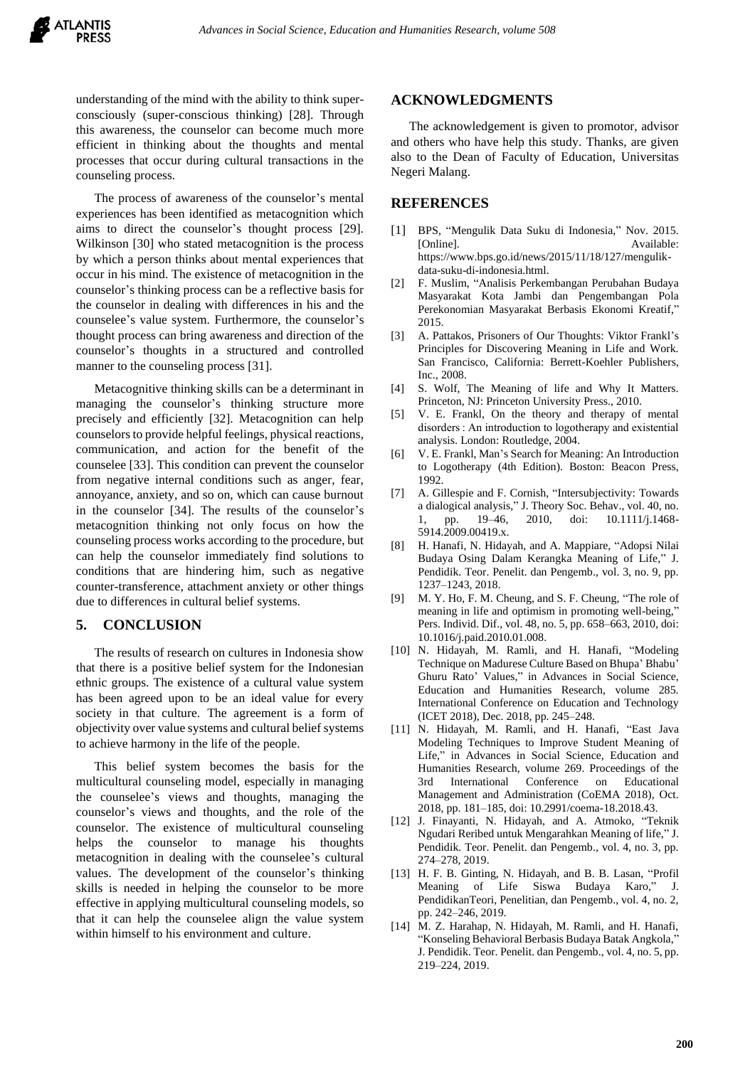understanding of the mind with the ability to think superconsciously (super-conscious thinking) [28]. Through this awareness, the counselor can become much more efficient in thinking about the thoughts and mental processes that occur during cultural transactions in the counseling process.

The process of awareness of the counselor's mental experiences has been identified as metacognition which aims to direct the counselor's thought process [29]. Wilkinson [30] who stated metacognition is the process by which a person thinks about mental experiences that occur in his mind. The existence of metacognition in the counselor's thinking process can be a reflective basis for the counselor in dealing with differences in his and the counselee's value system. Furthermore, the counselor's thought process can bring awareness and direction of the counselor's thoughts in a structured and controlled manner to the counseling process [31].

Metacognitive thinking skills can be a determinant in managing the counselor's thinking structure more precisely and efficiently [32]. Metacognition can help counselors to provide helpful feelings, physical reactions, communication, and action for the benefit of the counselee [33]. This condition can prevent the counselor from negative internal conditions such as anger, fear, annoyance, anxiety, and so on, which can cause burnout in the counselor [34]. The results of the counselor's metacognition thinking not only focus on how the counseling process works according to the procedure, but can help the counselor immediately find solutions to conditions that are hindering him, such as negative counter-transference, attachment anxiety or other things due to differences in cultural belief systems.

### **5. CONCLUSION**

The results of research on cultures in Indonesia show that there is a positive belief system for the Indonesian ethnic groups. The existence of a cultural value system has been agreed upon to be an ideal value for every society in that culture. The agreement is a form of objectivity over value systems and cultural belief systems to achieve harmony in the life of the people.

This belief system becomes the basis for the multicultural counseling model, especially in managing the counselee's views and thoughts, managing the counselor's views and thoughts, and the role of the counselor. The existence of multicultural counseling helps the counselor to manage his thoughts metacognition in dealing with the counselee's cultural values. The development of the counselor's thinking skills is needed in helping the counselor to be more effective in applying multicultural counseling models, so that it can help the counselee align the value system within himself to his environment and culture.

### **ACKNOWLEDGMENTS**

The acknowledgement is given to promotor, advisor and others who have help this study. Thanks, are given also to the Dean of Faculty of Education, Universitas Negeri Malang.

#### **REFERENCES**

- [1] BPS, "Mengulik Data Suku di Indonesia," Nov. 2015. [Online]. Available: https://www.bps.go.id/news/2015/11/18/127/mengulikdata-suku-di-indonesia.html.
- [2] F. Muslim, "Analisis Perkembangan Perubahan Budaya Masyarakat Kota Jambi dan Pengembangan Pola Perekonomian Masyarakat Berbasis Ekonomi Kreatif," 2015.
- [3] A. Pattakos, Prisoners of Our Thoughts: Viktor Frankl's Principles for Discovering Meaning in Life and Work. San Francisco, California: Berrett-Koehler Publishers, Inc., 2008.
- [4] S. Wolf, The Meaning of life and Why It Matters. Princeton, NJ: Princeton University Press., 2010.
- [5] V. E. Frankl, On the theory and therapy of mental disorders : An introduction to logotherapy and existential analysis. London: Routledge, 2004.
- [6] V. E. Frankl, Man's Search for Meaning: An Introduction to Logotherapy (4th Edition). Boston: Beacon Press, 1992.
- [7] A. Gillespie and F. Cornish, "Intersubjectivity: Towards a dialogical analysis," J. Theory Soc. Behav., vol. 40, no. 1, pp. 19–46, 2010, doi: 10.1111/j.1468- 5914.2009.00419.x.
- [8] H. Hanafi, N. Hidayah, and A. Mappiare, "Adopsi Nilai Budaya Osing Dalam Kerangka Meaning of Life," J. Pendidik. Teor. Penelit. dan Pengemb., vol. 3, no. 9, pp. 1237–1243, 2018.
- [9] M. Y. Ho, F. M. Cheung, and S. F. Cheung, "The role of meaning in life and optimism in promoting well-being," Pers. Individ. Dif., vol. 48, no. 5, pp. 658–663, 2010, doi: 10.1016/j.paid.2010.01.008.
- [10] N. Hidayah, M. Ramli, and H. Hanafi, "Modeling Technique on Madurese Culture Based on Bhupa' Bhabu' Ghuru Rato' Values," in Advances in Social Science, Education and Humanities Research, volume 285. International Conference on Education and Technology (ICET 2018), Dec. 2018, pp. 245–248.
- [11] N. Hidayah, M. Ramli, and H. Hanafi, "East Java Modeling Techniques to Improve Student Meaning of Life," in Advances in Social Science, Education and Humanities Research, volume 269. Proceedings of the 3rd International Conference on Educational Management and Administration (CoEMA 2018), Oct. 2018, pp. 181–185, doi: 10.2991/coema-18.2018.43.
- [12] J. Finayanti, N. Hidayah, and A. Atmoko, "Teknik Ngudari Reribed untuk Mengarahkan Meaning of life," J. Pendidik. Teor. Penelit. dan Pengemb., vol. 4, no. 3, pp. 274–278, 2019.
- [13] H. F. B. Ginting, N. Hidayah, and B. B. Lasan, "Profil Meaning of Life Siswa Budaya Karo," J. PendidikanTeori, Penelitian, dan Pengemb., vol. 4, no. 2, pp. 242–246, 2019.
- [14] M. Z. Harahap, N. Hidayah, M. Ramli, and H. Hanafi, "Konseling Behavioral Berbasis Budaya Batak Angkola," J. Pendidik. Teor. Penelit. dan Pengemb., vol. 4, no. 5, pp. 219–224, 2019.